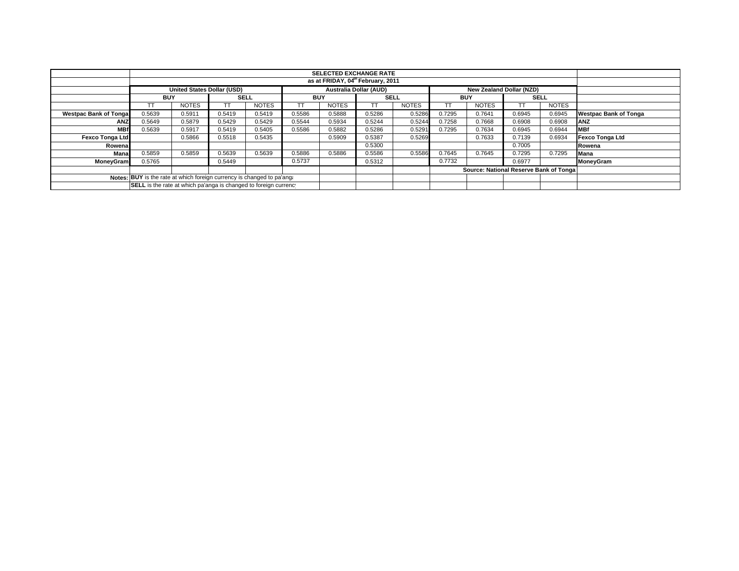|                               |                                                                                                | <b>SELECTED EXCHANGE RATE</b> |             |              |            |              |             |              |            |                                         |             |              |                              |
|-------------------------------|------------------------------------------------------------------------------------------------|-------------------------------|-------------|--------------|------------|--------------|-------------|--------------|------------|-----------------------------------------|-------------|--------------|------------------------------|
|                               | as at FRIDAY, 04th February, 2011                                                              |                               |             |              |            |              |             |              |            |                                         |             |              |                              |
|                               | <b>Australia Dollar (AUD)</b><br><b>United States Dollar (USD)</b><br>New Zealand Dollar (NZD) |                               |             |              |            |              |             |              |            |                                         |             |              |                              |
|                               | <b>BUY</b>                                                                                     |                               | <b>SELL</b> |              | <b>BUY</b> |              | <b>SELL</b> |              | <b>BUY</b> |                                         | <b>SELL</b> |              |                              |
|                               |                                                                                                | <b>NOTES</b>                  | TT.         | <b>NOTES</b> |            | <b>NOTES</b> |             | <b>NOTES</b> |            | <b>NOTES</b>                            | TΤ          | <b>NOTES</b> |                              |
| <b>Westpac Bank of Tongal</b> | 0.5639                                                                                         | 0.5911                        | 0.5419      | 0.5419       | 0.5586     | 0.5888       | 0.5286      | 0.5286       | 0.7295     | 0.7641                                  | 0.6945      | 0.6945       | <b>Westpac Bank of Tonga</b> |
| <b>ANZ</b>                    | 0.5649                                                                                         | 0.5879                        | 0.5429      | 0.5429       | 0.5544     | 0.5934       | 0.5244      | 0.5244       | 0.7258     | 0.7668                                  | 0.6908      | 0.6908       | ANZ                          |
| <b>MBf</b>                    | 0.5639                                                                                         | 0.5917                        | 0.5419      | 0.5405       | 0.5586     | 0.5882       | 0.5286      | 0.5291       | 0.7295     | 0.7634                                  | 0.6945      | 0.6944       | <b>MBf</b>                   |
| Fexco Tonga Ltd               |                                                                                                | 0.5866                        | 0.5518      | 0.5435       |            | 0.5909       | 0.5387      | 0.5269       |            | 0.7633                                  | 0.7139      | 0.6934       | <b>Fexco Tonga Ltd</b>       |
| Rowena                        |                                                                                                |                               |             |              |            |              | 0.5300      |              |            |                                         | 0.7005      |              | Rowena                       |
| Mana                          | 0.5859                                                                                         | 0.5859                        | 0.5639      | 0.5639       | 0.5886     | 0.5886       | 0.5586      | 0.5586       | 0.7645     | 0.7645                                  | 0.7295      | 0.7295       | Mana                         |
| <b>MoneyGram</b>              | 0.5765                                                                                         |                               | 0.5449      |              | 0.5737     |              | 0.5312      |              | 0.7732     |                                         | 0.6977      |              | <b>MoneyGram</b>             |
|                               |                                                                                                |                               |             |              |            |              |             |              |            | Source: National Reserve Bank of Tongal |             |              |                              |
|                               | Notes: BUY is the rate at which foreign currency is changed to pa'ang.                         |                               |             |              |            |              |             |              |            |                                         |             |              |                              |
|                               | <b>SELL</b> is the rate at which pa'anga is changed to foreign currency                        |                               |             |              |            |              |             |              |            |                                         |             |              |                              |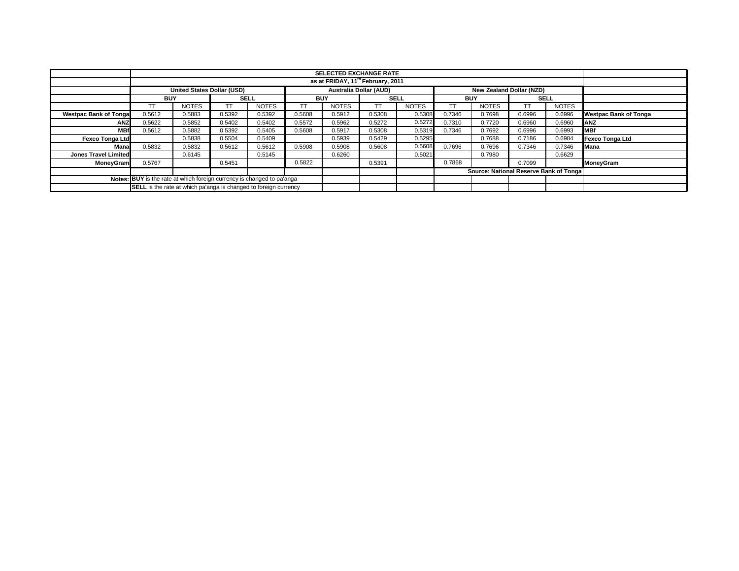|                                                                        |                                                                         | <b>SELECTED EXCHANGE RATE</b>                                                                  |             |              |            |              |             |              |            |                                        |             |              |                              |
|------------------------------------------------------------------------|-------------------------------------------------------------------------|------------------------------------------------------------------------------------------------|-------------|--------------|------------|--------------|-------------|--------------|------------|----------------------------------------|-------------|--------------|------------------------------|
|                                                                        | as at FRIDAY, 11 <sup>th</sup> February, 2011                           |                                                                                                |             |              |            |              |             |              |            |                                        |             |              |                              |
|                                                                        |                                                                         | <b>United States Dollar (USD)</b><br><b>Australia Dollar (AUD)</b><br>New Zealand Dollar (NZD) |             |              |            |              |             |              |            |                                        |             |              |                              |
|                                                                        | <b>BUY</b>                                                              |                                                                                                | <b>SELL</b> |              | <b>BUY</b> |              | <b>SELL</b> |              | <b>BUY</b> |                                        | <b>SELL</b> |              |                              |
|                                                                        | TT                                                                      | <b>NOTES</b>                                                                                   |             | <b>NOTES</b> | TΤ         | <b>NOTES</b> | TI          | <b>NOTES</b> |            | <b>NOTES</b>                           |             | <b>NOTES</b> |                              |
| <b>Westpac Bank of Tonga</b>                                           | 0.5612                                                                  | 0.5883                                                                                         | 0.5392      | 0.5392       | 0.5608     | 0.5912       | 0.5308      | 0.5308       | 0.7346     | 0.7698                                 | 0.6996      | 0.6996       | <b>Westpac Bank of Tonga</b> |
| ANZ                                                                    | 0.5622                                                                  | 0.5852                                                                                         | 0.5402      | 0.5402       | 0.5572     | 0.5962       | 0.5272      | 0.5272       | 0.7310     | 0.7720                                 | 0.6960      | 0.6960       | <b>ANZ</b>                   |
| <b>MBf</b>                                                             | 0.5612                                                                  | 0.5882                                                                                         | 0.5392      | 0.5405       | 0.5608     | 0.5917       | 0.5308      | 0.5319       | 0.7346     | 0.7692                                 | 0.6996      | 0.6993       | <b>MBf</b>                   |
| <b>Fexco Tonga Ltd</b>                                                 |                                                                         | 0.5838                                                                                         | 0.5504      | 0.5409       |            | 0.5939       | 0.5429      | 0.5295       |            | 0.7688                                 | 0.7186      | 0.6984       | <b>Fexco Tonga Ltd</b>       |
| Mana                                                                   | 0.5832                                                                  | 0.5832                                                                                         | 0.5612      | 0.5612       | 0.5908     | 0.5908       | 0.5608      | 0.5608       | 0.7696     | 0.7696                                 | 0.7346      | 0.7346       | Mana                         |
| <b>Jones Travel Limited</b>                                            |                                                                         | 0.6145                                                                                         |             | 0.5145       |            | 0.6260       |             | 0.5021       |            | 0.7980                                 |             | 0.6629       |                              |
| <b>MonevGram</b>                                                       | 0.5767                                                                  |                                                                                                | 0.5451      |              | 0.5822     |              | 0.5391      |              | 0.7868     |                                        | 0.7099      |              | MoneyGram                    |
|                                                                        |                                                                         |                                                                                                |             |              |            |              |             |              |            | Source: National Reserve Bank of Tonga |             |              |                              |
| Notes: BUY is the rate at which foreign currency is changed to pa'anga |                                                                         |                                                                                                |             |              |            |              |             |              |            |                                        |             |              |                              |
|                                                                        | <b>SELL</b> is the rate at which pa'anga is changed to foreign currency |                                                                                                |             |              |            |              |             |              |            |                                        |             |              |                              |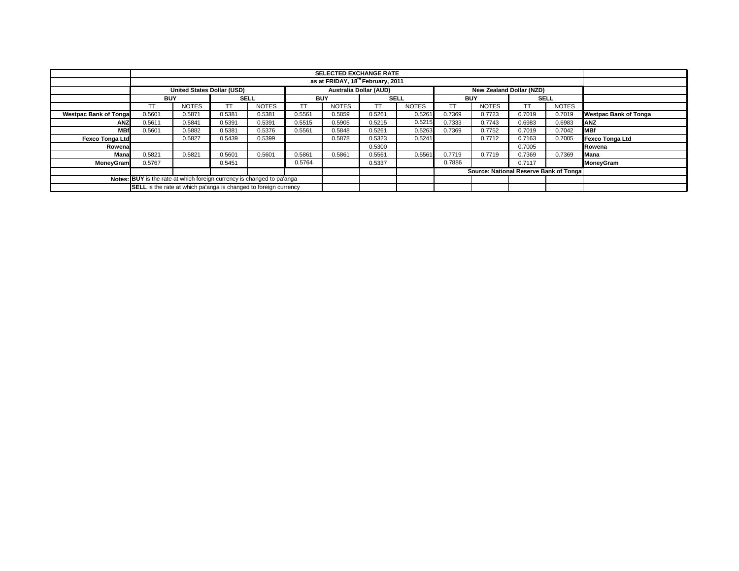|                                                                        |                                                                                         | <b>SELECTED EXCHANGE RATE</b> |             |              |                  |              |             |              |            |                                        |             |              |                              |
|------------------------------------------------------------------------|-----------------------------------------------------------------------------------------|-------------------------------|-------------|--------------|------------------|--------------|-------------|--------------|------------|----------------------------------------|-------------|--------------|------------------------------|
|                                                                        | as at FRIDAY, 18 <sup>th</sup> February, 2011                                           |                               |             |              |                  |              |             |              |            |                                        |             |              |                              |
|                                                                        | Australia Dollar (AUD)<br><b>United States Dollar (USD)</b><br>New Zealand Dollar (NZD) |                               |             |              |                  |              |             |              |            |                                        |             |              |                              |
|                                                                        | <b>BUY</b>                                                                              |                               | <b>SELL</b> |              | <b>BUY</b>       |              | <b>SELL</b> |              | <b>BUY</b> |                                        | <b>SELL</b> |              |                              |
|                                                                        | TT                                                                                      | <b>NOTES</b>                  |             | <b>NOTES</b> | TΤ               | <b>NOTES</b> | TT          | <b>NOTES</b> |            | <b>NOTES</b>                           |             | <b>NOTES</b> |                              |
| <b>Westpac Bank of Tongal</b>                                          | 0.5601                                                                                  | 0.5871                        | 0.5381      | 0.5381       | 0.5561           | 0.5859       | 0.5261      | 0.5261       | 0.7369     | 0.7723                                 | 0.7019      | 0.7019       | <b>Westpac Bank of Tonga</b> |
| <b>ANZ</b>                                                             | 0.5611                                                                                  | 0.5841                        | 0.5391      | 0.5391       | 0.5515           | 0.5905       | 0.5215      | 0.5215       | 0.7333     | 0.7743                                 | 0.6983      | 0.6983       | <b>ANZ</b>                   |
| <b>MBf</b>                                                             | 0.5601                                                                                  | 0.5882                        | 0.5381      | 0.5376       | 0.5561           | 0.5848       | 0.5261      | 0.5263       | 0.7369     | 0.7752                                 | 0.7019      | 0.7042       | <b>MBf</b>                   |
| <b>Fexco Tonga Ltd</b>                                                 |                                                                                         | 0.5827                        | 0.5439      | 0.5399       |                  | 0.5878       | 0.5323      | 0.5241       |            | 0.7712                                 | 0.7163      | 0.7005       | <b>Fexco Tonga Ltd</b>       |
| Rowenal                                                                |                                                                                         |                               |             |              | 0.7005<br>0.5300 |              |             |              |            | Rowena                                 |             |              |                              |
| Mana                                                                   | 0.5821                                                                                  | 0.5821                        | 0.5601      | 0.5601       | 0.5861           | 0.5861       | 0.5561      | 0.5561       | 0.7719     | 0.7719                                 | 0.7369      | 0.7369       | Mana                         |
| <b>MoneyGram</b>                                                       | 0.5767                                                                                  |                               | 0.5451      |              | 0.5764           |              | 0.5337      |              | 0.7886     |                                        | 0.7117      |              | MoneyGram                    |
|                                                                        |                                                                                         |                               |             |              |                  |              |             |              |            | Source: National Reserve Bank of Tonga |             |              |                              |
| Notes: BUY is the rate at which foreign currency is changed to pa'anga |                                                                                         |                               |             |              |                  |              |             |              |            |                                        |             |              |                              |
|                                                                        | <b>SELL</b> is the rate at which pa'anga is changed to foreign currency                 |                               |             |              |                  |              |             |              |            |                                        |             |              |                              |